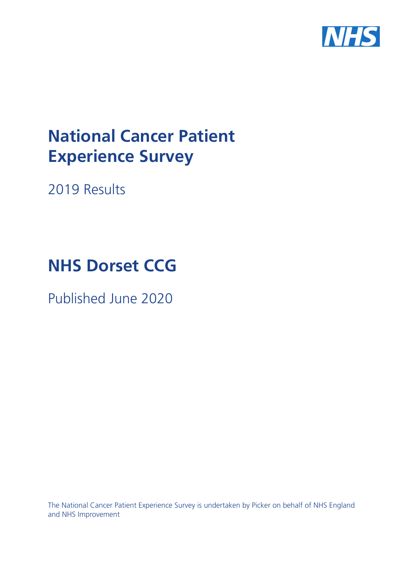

# **National Cancer Patient Experience Survey**

2019 Results

# **NHS Dorset CCG**

Published June 2020

The National Cancer Patient Experience Survey is undertaken by Picker on behalf of NHS England and NHS Improvement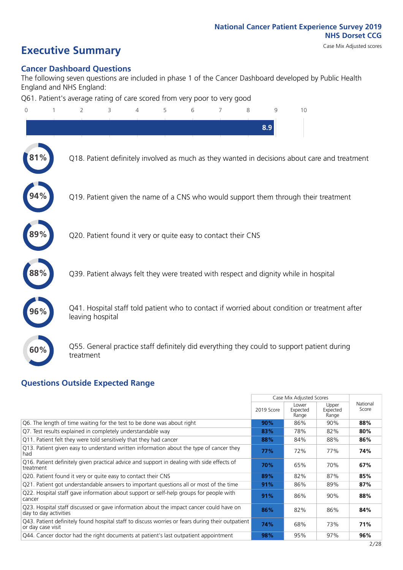# **Executive Summary** Case Mix Adjusted scores

### **Cancer Dashboard Questions**

The following seven questions are included in phase 1 of the Cancer Dashboard developed by Public Health England and NHS England:

Q61. Patient's average rating of care scored from very poor to very good

| $\overline{0}$ | $\overline{2}$                                                | 3 | 4 | 5 | 6 | 7 | 8 | 9   | 10                                                                                            |  |
|----------------|---------------------------------------------------------------|---|---|---|---|---|---|-----|-----------------------------------------------------------------------------------------------|--|
|                |                                                               |   |   |   |   |   |   | 8.9 |                                                                                               |  |
|                |                                                               |   |   |   |   |   |   |     | Q18. Patient definitely involved as much as they wanted in decisions about care and treatment |  |
|                |                                                               |   |   |   |   |   |   |     | Q19. Patient given the name of a CNS who would support them through their treatment           |  |
|                | Q20. Patient found it very or quite easy to contact their CNS |   |   |   |   |   |   |     |                                                                                               |  |
|                |                                                               |   |   |   |   |   |   |     | Q39. Patient always felt they were treated with respect and dignity while in hospital         |  |
| 96%            | leaving hospital                                              |   |   |   |   |   |   |     | Q41. Hospital staff told patient who to contact if worried about condition or treatment after |  |
| 60%            | treatment                                                     |   |   |   |   |   |   |     | Q55. General practice staff definitely did everything they could to support patient during    |  |
|                |                                                               |   |   |   |   |   |   |     |                                                                                               |  |

### **Questions Outside Expected Range**

|                                                                                                                       |            | Case Mix Adjusted Scores   |                            |                   |
|-----------------------------------------------------------------------------------------------------------------------|------------|----------------------------|----------------------------|-------------------|
|                                                                                                                       | 2019 Score | Lower<br>Expected<br>Range | Upper<br>Expected<br>Range | National<br>Score |
| Q6. The length of time waiting for the test to be done was about right                                                | 90%        | 86%                        | 90%                        | 88%               |
| Q7. Test results explained in completely understandable way                                                           | 83%        | 78%                        | 82%                        | 80%               |
| Q11. Patient felt they were told sensitively that they had cancer                                                     | 88%        | 84%                        | 88%                        | 86%               |
| Q13. Patient given easy to understand written information about the type of cancer they<br>had                        | 77%        | 72%                        | 77%                        | 74%               |
| Q16. Patient definitely given practical advice and support in dealing with side effects of<br>treatment               | 70%        | 65%                        | 70%                        | 67%               |
| Q20. Patient found it very or quite easy to contact their CNS                                                         | 89%        | 82%                        | 87%                        | 85%               |
| Q21. Patient got understandable answers to important questions all or most of the time                                | 91%        | 86%                        | 89%                        | 87%               |
| Q22. Hospital staff gave information about support or self-help groups for people with<br>cancer                      | 91%        | 86%                        | 90%                        | 88%               |
| Q23. Hospital staff discussed or gave information about the impact cancer could have on<br>day to day activities      | 86%        | 82%                        | 86%                        | 84%               |
| Q43. Patient definitely found hospital staff to discuss worries or fears during their outpatient<br>or day case visit | 74%        | 68%                        | 73%                        | 71%               |
| Q44. Cancer doctor had the right documents at patient's last outpatient appointment                                   | 98%        | 95%                        | 97%                        | 96%               |
|                                                                                                                       |            |                            |                            | 2/28              |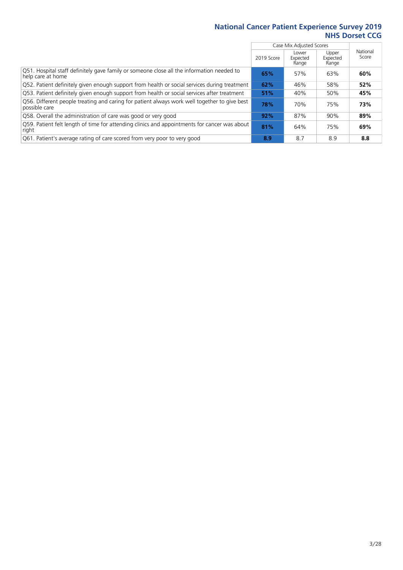|                                                                                                                |            | Case Mix Adjusted Scores   |                            |                   |
|----------------------------------------------------------------------------------------------------------------|------------|----------------------------|----------------------------|-------------------|
|                                                                                                                | 2019 Score | Lower<br>Expected<br>Range | Upper<br>Expected<br>Range | National<br>Score |
| Q51. Hospital staff definitely gave family or someone close all the information needed to<br>help care at home | 65%        | 57%                        | 63%                        | 60%               |
| Q52. Patient definitely given enough support from health or social services during treatment                   | 62%        | 46%                        | 58%                        | 52%               |
| Q53. Patient definitely given enough support from health or social services after treatment                    | 51%        | 40%                        | 50%                        | 45%               |
| Q56. Different people treating and caring for patient always work well together to give best<br>possible care  | 78%        | 70%                        | 75%                        | 73%               |
| Q58. Overall the administration of care was good or very good                                                  | 92%        | 87%                        | 90%                        | 89%               |
| [Q59] Patient felt length of time for attending clinics and appointments for cancer was about<br>right         | 81%        | 64%                        | 75%                        | 69%               |
| Q61. Patient's average rating of care scored from very poor to very good                                       | 8.9        | 8.7                        | 8.9                        | 8.8               |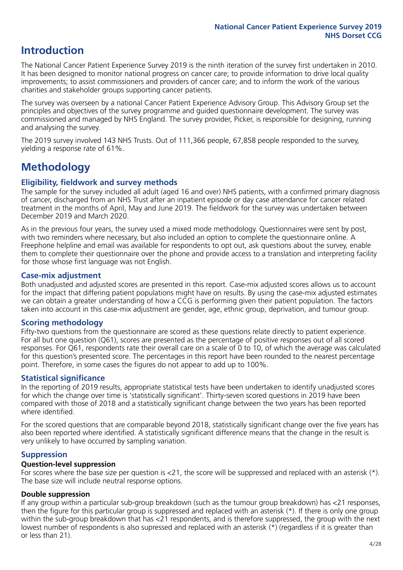### **Introduction**

The National Cancer Patient Experience Survey 2019 is the ninth iteration of the survey first undertaken in 2010. It has been designed to monitor national progress on cancer care; to provide information to drive local quality improvements; to assist commissioners and providers of cancer care; and to inform the work of the various charities and stakeholder groups supporting cancer patients.

The survey was overseen by a national Cancer Patient Experience Advisory Group. This Advisory Group set the principles and objectives of the survey programme and guided questionnaire development. The survey was commissioned and managed by NHS England. The survey provider, Picker, is responsible for designing, running and analysing the survey.

The 2019 survey involved 143 NHS Trusts. Out of 111,366 people, 67,858 people responded to the survey, yielding a response rate of 61%.

### **Methodology**

### **Eligibility, eldwork and survey methods**

The sample for the survey included all adult (aged 16 and over) NHS patients, with a confirmed primary diagnosis of cancer, discharged from an NHS Trust after an inpatient episode or day case attendance for cancer related treatment in the months of April, May and June 2019. The fieldwork for the survey was undertaken between December 2019 and March 2020.

As in the previous four years, the survey used a mixed mode methodology. Questionnaires were sent by post, with two reminders where necessary, but also included an option to complete the questionnaire online. A Freephone helpline and email was available for respondents to opt out, ask questions about the survey, enable them to complete their questionnaire over the phone and provide access to a translation and interpreting facility for those whose first language was not English.

### **Case-mix adjustment**

Both unadjusted and adjusted scores are presented in this report. Case-mix adjusted scores allows us to account for the impact that differing patient populations might have on results. By using the case-mix adjusted estimates we can obtain a greater understanding of how a CCG is performing given their patient population. The factors taken into account in this case-mix adjustment are gender, age, ethnic group, deprivation, and tumour group.

### **Scoring methodology**

Fifty-two questions from the questionnaire are scored as these questions relate directly to patient experience. For all but one question (Q61), scores are presented as the percentage of positive responses out of all scored responses. For Q61, respondents rate their overall care on a scale of 0 to 10, of which the average was calculated for this question's presented score. The percentages in this report have been rounded to the nearest percentage point. Therefore, in some cases the figures do not appear to add up to 100%.

### **Statistical significance**

In the reporting of 2019 results, appropriate statistical tests have been undertaken to identify unadjusted scores for which the change over time is 'statistically significant'. Thirty-seven scored questions in 2019 have been compared with those of 2018 and a statistically significant change between the two years has been reported where identified.

For the scored questions that are comparable beyond 2018, statistically significant change over the five years has also been reported where identified. A statistically significant difference means that the change in the result is very unlikely to have occurred by sampling variation.

### **Suppression**

#### **Question-level suppression**

For scores where the base size per question is  $<$ 21, the score will be suppressed and replaced with an asterisk (\*). The base size will include neutral response options.

### **Double suppression**

If any group within a particular sub-group breakdown (such as the tumour group breakdown) has <21 responses, then the figure for this particular group is suppressed and replaced with an asterisk (\*). If there is only one group within the sub-group breakdown that has <21 respondents, and is therefore suppressed, the group with the next lowest number of respondents is also supressed and replaced with an asterisk (\*) (regardless if it is greater than or less than 21).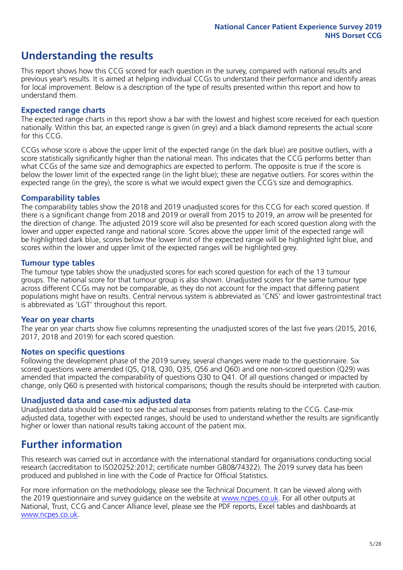### **Understanding the results**

This report shows how this CCG scored for each question in the survey, compared with national results and previous year's results. It is aimed at helping individual CCGs to understand their performance and identify areas for local improvement. Below is a description of the type of results presented within this report and how to understand them.

#### **Expected range charts**

The expected range charts in this report show a bar with the lowest and highest score received for each question nationally. Within this bar, an expected range is given (in grey) and a black diamond represents the actual score for this CCG.

CCGs whose score is above the upper limit of the expected range (in the dark blue) are positive outliers, with a score statistically significantly higher than the national mean. This indicates that the CCG performs better than what CCGs of the same size and demographics are expected to perform. The opposite is true if the score is below the lower limit of the expected range (in the light blue); these are negative outliers. For scores within the expected range (in the grey), the score is what we would expect given the CCG's size and demographics.

#### **Comparability tables**

The comparability tables show the 2018 and 2019 unadjusted scores for this CCG for each scored question. If there is a significant change from 2018 and 2019 or overall from 2015 to 2019, an arrow will be presented for the direction of change. The adjusted 2019 score will also be presented for each scored question along with the lower and upper expected range and national score. Scores above the upper limit of the expected range will be highlighted dark blue, scores below the lower limit of the expected range will be highlighted light blue, and scores within the lower and upper limit of the expected ranges will be highlighted grey.

### **Tumour type tables**

The tumour type tables show the unadjusted scores for each scored question for each of the 13 tumour groups. The national score for that tumour group is also shown. Unadjusted scores for the same tumour type across different CCGs may not be comparable, as they do not account for the impact that differing patient populations might have on results. Central nervous system is abbreviated as 'CNS' and lower gastrointestinal tract is abbreviated as 'LGT' throughout this report.

### **Year on year charts**

The year on year charts show five columns representing the unadjusted scores of the last five years (2015, 2016, 2017, 2018 and 2019) for each scored question.

#### **Notes on specific questions**

Following the development phase of the 2019 survey, several changes were made to the questionnaire. Six scored questions were amended (Q5, Q18, Q30, Q35, Q56 and Q60) and one non-scored question (Q29) was amended that impacted the comparability of questions Q30 to Q41. Of all questions changed or impacted by change, only Q60 is presented with historical comparisons; though the results should be interpreted with caution.

### **Unadjusted data and case-mix adjusted data**

Unadjusted data should be used to see the actual responses from patients relating to the CCG. Case-mix adjusted data, together with expected ranges, should be used to understand whether the results are significantly higher or lower than national results taking account of the patient mix.

### **Further information**

This research was carried out in accordance with the international standard for organisations conducting social research (accreditation to ISO20252:2012; certificate number GB08/74322). The 2019 survey data has been produced and published in line with the Code of Practice for Official Statistics.

For more information on the methodology, please see the Technical Document. It can be viewed along with the 2019 questionnaire and survey quidance on the website at [www.ncpes.co.uk](https://www.ncpes.co.uk/supporting-documents). For all other outputs at National, Trust, CCG and Cancer Alliance level, please see the PDF reports, Excel tables and dashboards at [www.ncpes.co.uk.](https://www.ncpes.co.uk/current-results)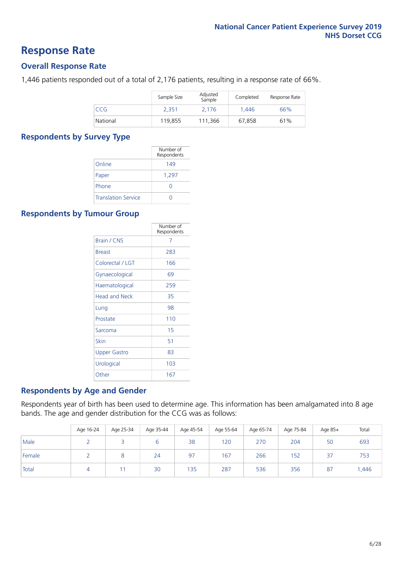### **Response Rate**

### **Overall Response Rate**

1,446 patients responded out of a total of 2,176 patients, resulting in a response rate of 66%.

|            | Sample Size | Adjusted<br>Sample | Completed | Response Rate |
|------------|-------------|--------------------|-----------|---------------|
| <b>CCG</b> | 2.351       | 2,176              | 1.446     | 66%           |
| National   | 119.855     | 111.366            | 67,858    | 61%           |

#### **Respondents by Survey Type**

|                            | Number of<br>Respondents |
|----------------------------|--------------------------|
| Online                     | 149                      |
| Paper                      | 1,297                    |
| Phone                      | Ω                        |
| <b>Translation Service</b> |                          |

### **Respondents by Tumour Group**

|                      | Number of<br>Respondents |
|----------------------|--------------------------|
| Brain / CNS          | 7                        |
| <b>Breast</b>        | 283                      |
| Colorectal / LGT     | 166                      |
| Gynaecological       | 69                       |
| Haematological       | 259                      |
| <b>Head and Neck</b> | 35                       |
| Lung                 | 98                       |
| Prostate             | 110                      |
| Sarcoma              | 15                       |
| Skin                 | 51                       |
| <b>Upper Gastro</b>  | 83                       |
| Urological           | 103                      |
| Other                | 167                      |

### **Respondents by Age and Gender**

Respondents year of birth has been used to determine age. This information has been amalgamated into 8 age bands. The age and gender distribution for the CCG was as follows:

|        | Age 16-24 | Age 25-34 | Age 35-44 | Age 45-54 | Age 55-64 | Age 65-74 | Age 75-84 | Age 85+ | Total |
|--------|-----------|-----------|-----------|-----------|-----------|-----------|-----------|---------|-------|
| Male   |           |           |           | 38        | 120       | 270       | 204       | 50      | 693   |
| Female |           |           | 24        | 97        | 167       | 266       | 152       | 37      | 753   |
| Total  |           |           | 30        | 135       | 287       | 536       | 356       | 87      | .446  |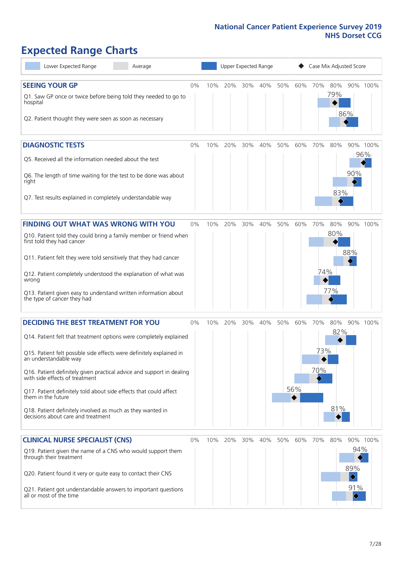# **Expected Range Charts**

| Lower Expected Range<br>Average                                                                                                                                                                                                                                                                                                                                                                                                                                                                                             |       |     |     |     | Upper Expected Range |     |                 |                   | Case Mix Adjusted Score |                                                                     |                 |
|-----------------------------------------------------------------------------------------------------------------------------------------------------------------------------------------------------------------------------------------------------------------------------------------------------------------------------------------------------------------------------------------------------------------------------------------------------------------------------------------------------------------------------|-------|-----|-----|-----|----------------------|-----|-----------------|-------------------|-------------------------|---------------------------------------------------------------------|-----------------|
| <b>SEEING YOUR GP</b><br>Q1. Saw GP once or twice before being told they needed to go to<br>hospital<br>Q2. Patient thought they were seen as soon as necessary                                                                                                                                                                                                                                                                                                                                                             | 0%    | 10% | 20% | 30% | 40%                  | 50% | 60%             | 70%               | 80%<br>79%              | 86%                                                                 | 90% 100%        |
| <b>DIAGNOSTIC TESTS</b><br>Q5. Received all the information needed about the test<br>Q6. The length of time waiting for the test to be done was about<br>right<br>Q7. Test results explained in completely understandable way                                                                                                                                                                                                                                                                                               | 0%    | 10% | 20% | 30% | 40%                  | 50% | 60%             | 70%               | 80%<br>83%              | 90%                                                                 | 90% 100%<br>96% |
| <b>FINDING OUT WHAT WAS WRONG WITH YOU</b><br>Q10. Patient told they could bring a family member or friend when<br>first told they had cancer<br>Q11. Patient felt they were told sensitively that they had cancer<br>Q12. Patient completely understood the explanation of what was<br>wrong<br>Q13. Patient given easy to understand written information about<br>the type of cancer they had                                                                                                                             | 0%    | 10% | 20% | 30% | 40%                  | 50% | 60%             | 70%<br>74%        | 80%<br>80%<br>77%       | 88%                                                                 | 90% 100%        |
| <b>DECIDING THE BEST TREATMENT FOR YOU</b><br>Q14. Patient felt that treatment options were completely explained<br>Q15. Patient felt possible side effects were definitely explained in<br>an understandable way<br>Q16. Patient definitely given practical advice and support in dealing<br>with side effects of treatment<br>Q17. Patient definitely told about side effects that could affect<br>them in the future<br>Q18. Patient definitely involved as much as they wanted in<br>decisions about care and treatment | $0\%$ | 10% | 20% | 30% | 40%                  | 50% | 60%<br>56%<br>◆ | 70%<br>73%<br>70% | 80%<br>82%<br>81%       |                                                                     | 90% 100%        |
| <b>CLINICAL NURSE SPECIALIST (CNS)</b><br>Q19. Patient given the name of a CNS who would support them<br>through their treatment<br>Q20. Patient found it very or quite easy to contact their CNS<br>Q21. Patient got understandable answers to important questions<br>all or most of the time                                                                                                                                                                                                                              | 0%    | 10% | 20% | 30% | 40%                  | 50% | 60%             | 70%               | 80%                     | 94%<br>89%<br>$\blacklozenge$<br>91%<br>$\color{blue}\blacklozenge$ | 90% 100%        |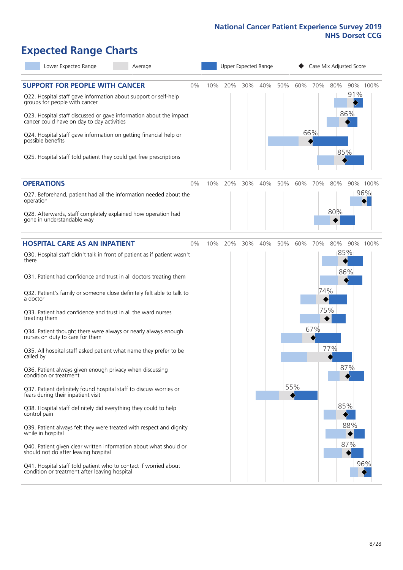# **Expected Range Charts**

| Lower Expected Range<br>Average                                                                                   |    |     |     | Upper Expected Range |     |     |     | Case Mix Adjusted Score |     |     |          |
|-------------------------------------------------------------------------------------------------------------------|----|-----|-----|----------------------|-----|-----|-----|-------------------------|-----|-----|----------|
| <b>SUPPORT FOR PEOPLE WITH CANCER</b><br>Q22. Hospital staff gave information about support or self-help          | 0% | 10% | 20% | 30%                  | 40% | 50% |     | 60% 70%                 | 80% | 91% | 90% 100% |
| groups for people with cancer<br>Q23. Hospital staff discussed or gave information about the impact               |    |     |     |                      |     |     |     |                         |     | 86% |          |
| cancer could have on day to day activities                                                                        |    |     |     |                      |     |     |     | 66%                     |     |     |          |
| Q24. Hospital staff gave information on getting financial help or<br>possible benefits                            |    |     |     |                      |     |     |     |                         |     |     |          |
| Q25. Hospital staff told patient they could get free prescriptions                                                |    |     |     |                      |     |     |     |                         | 85% |     |          |
| <b>OPERATIONS</b>                                                                                                 | 0% | 10% | 20% | 30%                  | 40% | 50% | 60% | 70%                     | 80% |     | 90% 100% |
| Q27. Beforehand, patient had all the information needed about the<br>operation                                    |    |     |     |                      |     |     |     |                         |     |     | 96%      |
| Q28. Afterwards, staff completely explained how operation had<br>gone in understandable way                       |    |     |     |                      |     |     |     |                         | 80% |     |          |
| <b>HOSPITAL CARE AS AN INPATIENT</b>                                                                              | 0% | 10% | 20% | 30%                  | 40% | 50% | 60% | 70%                     | 80% |     | 90% 100% |
| Q30. Hospital staff didn't talk in front of patient as if patient wasn't<br>there                                 |    |     |     |                      |     |     |     |                         | 85% | 86% |          |
| Q31. Patient had confidence and trust in all doctors treating them                                                |    |     |     |                      |     |     |     |                         |     |     |          |
| Q32. Patient's family or someone close definitely felt able to talk to<br>a doctor                                |    |     |     |                      |     |     |     | 74%                     |     |     |          |
| Q33. Patient had confidence and trust in all the ward nurses<br>treating them                                     |    |     |     |                      |     |     |     | 75%                     |     |     |          |
| Q34. Patient thought there were always or nearly always enough<br>nurses on duty to care for them                 |    |     |     |                      |     |     |     | 67%                     |     |     |          |
| Q35. All hospital staff asked patient what name they prefer to be<br>called by                                    |    |     |     |                      |     |     |     |                         | 77% |     |          |
| Q36. Patient always given enough privacy when discussing<br>condition or treatment                                |    |     |     |                      |     |     |     |                         |     | 87% |          |
| Q37. Patient definitely found hospital staff to discuss worries or<br>fears during their inpatient visit          |    |     |     |                      |     |     | 55% |                         |     |     |          |
| Q38. Hospital staff definitely did everything they could to help<br>control pain                                  |    |     |     |                      |     |     |     |                         |     | 85% |          |
| Q39. Patient always felt they were treated with respect and dignity<br>while in hospital                          |    |     |     |                      |     |     |     |                         |     | 88% |          |
| Q40. Patient given clear written information about what should or<br>should not do after leaving hospital         |    |     |     |                      |     |     |     |                         |     | 87% |          |
| Q41. Hospital staff told patient who to contact if worried about<br>condition or treatment after leaving hospital |    |     |     |                      |     |     |     |                         |     |     | 96%      |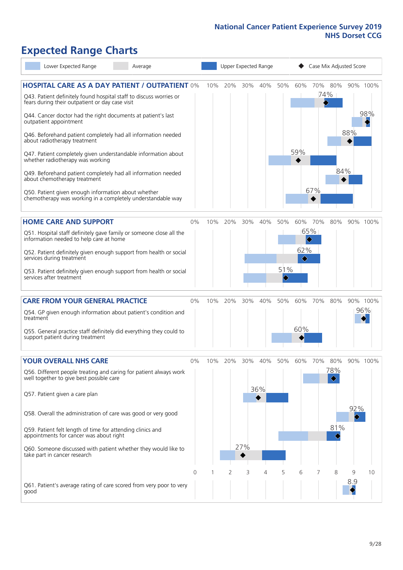# **Expected Range Charts**

| Lower Expected Range                                                                                                                                                                                                                                                                                                                                                                                                                                                                                                                                                                                                                                                                                   | Average |     | Upper Expected Range |            |            |                                |                                                |            | Case Mix Adjusted Score |          |                 |
|--------------------------------------------------------------------------------------------------------------------------------------------------------------------------------------------------------------------------------------------------------------------------------------------------------------------------------------------------------------------------------------------------------------------------------------------------------------------------------------------------------------------------------------------------------------------------------------------------------------------------------------------------------------------------------------------------------|---------|-----|----------------------|------------|------------|--------------------------------|------------------------------------------------|------------|-------------------------|----------|-----------------|
| <b>HOSPITAL CARE AS A DAY PATIENT / OUTPATIENT 0%</b><br>Q43. Patient definitely found hospital staff to discuss worries or<br>fears during their outpatient or day case visit<br>Q44. Cancer doctor had the right documents at patient's last<br>outpatient appointment<br>Q46. Beforehand patient completely had all information needed<br>about radiotherapy treatment<br>Q47. Patient completely given understandable information about<br>whether radiotherapy was working<br>Q49. Beforehand patient completely had all information needed<br>about chemotherapy treatment<br>Q50. Patient given enough information about whether<br>chemotherapy was working in a completely understandable way |         | 10% | 20%                  | 30%        | 40%        | 50%                            | 60%<br>59%                                     | 67%        | 70% 80%<br>74%<br>84%   | 88%      | 90% 100%<br>98% |
| <b>HOME CARE AND SUPPORT</b><br>Q51. Hospital staff definitely gave family or someone close all the<br>information needed to help care at home<br>Q52. Patient definitely given enough support from health or social<br>services during treatment<br>Q53. Patient definitely given enough support from health or social<br>services after treatment                                                                                                                                                                                                                                                                                                                                                    | 0%      | 10% | 20%                  | 30%        | 40%        | 50%<br>51%<br>$\hat{\diamond}$ | 60%<br>$\color{blue}\blacklozenge$<br>62%<br>♦ | 70%<br>65% | 80%                     |          | 90% 100%        |
| <b>CARE FROM YOUR GENERAL PRACTICE</b><br>Q54. GP given enough information about patient's condition and<br>treatment<br>Q55. General practice staff definitely did everything they could to<br>support patient during treatment                                                                                                                                                                                                                                                                                                                                                                                                                                                                       | 0%      | 10% | 20%                  | 30%        | 40%        | 50%                            | 60%<br>60%                                     | 70%        | 80%                     |          | 90% 100%<br>96% |
| <b>YOUR OVERALL NHS CARE</b><br>Q56. Different people treating and caring for patient always work<br>well together to give best possible care<br>Q57. Patient given a care plan<br>Q58. Overall the administration of care was good or very good<br>Q59. Patient felt length of time for attending clinics and<br>appointments for cancer was about right<br>Q60. Someone discussed with patient whether they would like to<br>take part in cancer research                                                                                                                                                                                                                                            | $0\%$   | 10% | 20%                  | 30%<br>27% | 40%<br>36% | 50%                            | 60%                                            | 70%        | 80%<br>78%<br>81%       | 92%      | 90% 100%        |
| Q61. Patient's average rating of care scored from very poor to very<br>good                                                                                                                                                                                                                                                                                                                                                                                                                                                                                                                                                                                                                            | 0       |     | 2                    | 3          | 4          | 5                              | 6                                              |            | 8                       | 9<br>8.9 | 10              |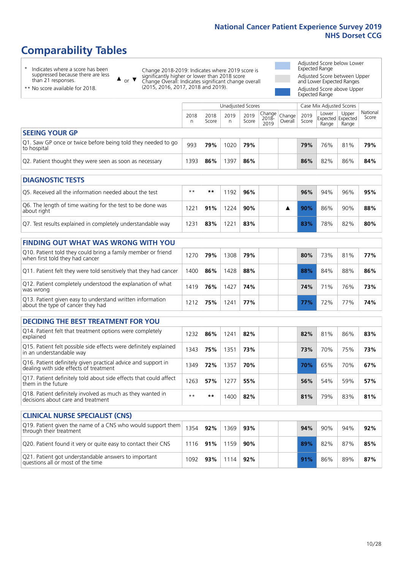# **Comparability Tables**

\* Indicates where a score has been suppressed because there are less than 21 responses.

\*\* No score available for 2018.

or  $\blacktriangledown$  $\blacktriangle$ 

Change 2018-2019: Indicates where 2019 score is significantly higher or lower than 2018 score Change Overall: Indicates significant change overall (2015, 2016, 2017, 2018 and 2019).

Adjusted Score below Lower Expected Range Adjusted Score between Upper and Lower Expected Ranges Adjusted Score above Upper

Expected Range

|                                                                             | Case Mix Adjusted Scores<br>Unadjusted Scores |               |           |               |                         |                   |               |                                     |                |                   |
|-----------------------------------------------------------------------------|-----------------------------------------------|---------------|-----------|---------------|-------------------------|-------------------|---------------|-------------------------------------|----------------|-------------------|
|                                                                             | 2018<br>n                                     | 2018<br>Score | 2019<br>n | 2019<br>Score | Change<br>2018-<br>2019 | Change<br>Overall | 2019<br>Score | Lower<br>Expected Expected<br>Range | Upper<br>Range | National<br>Score |
| <b>SEEING YOUR GP</b>                                                       |                                               |               |           |               |                         |                   |               |                                     |                |                   |
| Q1. Saw GP once or twice before being told they needed to go<br>to hospital | 993                                           | 79%           | 1020      | 79%           |                         |                   | 79%           | 76%                                 | 81%            | 79%               |
| Q2. Patient thought they were seen as soon as necessary                     | 393                                           | 86%           | 1397      | 86%           |                         |                   | 86%           | 82%                                 | 86%            | 84%               |
|                                                                             |                                               |               |           |               |                         |                   |               |                                     |                |                   |

| <b>DIAGNOSTIC TESTS</b>                                                   |              |     |      |     |  |     |     |     |     |
|---------------------------------------------------------------------------|--------------|-----|------|-----|--|-----|-----|-----|-----|
| O5. Received all the information needed about the test                    | $**$         | **  | 192  | 96% |  | 96% | 94% | 96% | 95% |
| Q6. The length of time waiting for the test to be done was<br>about right | $22^{\circ}$ | 91% | 224  | 90% |  | 90% | 86% | 90% | 88% |
| Q7. Test results explained in completely understandable way               | 231          | 83% | 22.5 | 83% |  | 83% | 78% | 82% | 80% |

| <b>FINDING OUT WHAT WAS WRONG WITH YOU</b>                                  |  |
|-----------------------------------------------------------------------------|--|
| $\overline{010}$ Deticat tald thay cauld hype a family meanshare article of |  |

| Q10. Patient told they could bring a family member or friend<br>when first told they had cancer | 270  | 79% | 1308 | 79% |  | 80%        | 73%             | 81% | 77% |
|-------------------------------------------------------------------------------------------------|------|-----|------|-----|--|------------|-----------------|-----|-----|
| Q11. Patient felt they were told sensitively that they had cancer                               | 1400 | 86% | 1428 | 88% |  | 88%        | 84%             | 88% | 86% |
| Q12. Patient completely understood the explanation of what<br>was wrong                         | 1419 | 76% | 1427 | 74% |  | 74%        | 71 <sub>%</sub> | 76% | 73% |
| Q13. Patient given easy to understand written information<br>about the type of cancer they had  | 1212 | 75% | 1241 | 77% |  | <b>77%</b> | 72%             | 77% | 74% |

| <b>DECIDING THE BEST TREATMENT FOR YOU</b>                                                              |      |       |      |     |     |     |     |     |
|---------------------------------------------------------------------------------------------------------|------|-------|------|-----|-----|-----|-----|-----|
| Q14. Patient felt that treatment options were completely<br>explained                                   | 1232 | 86%   | 1241 | 82% | 82% | 81% | 86% | 83% |
| Q15. Patient felt possible side effects were definitely explained<br>in an understandable way           | 1343 | 75%   | 1351 | 73% | 73% | 70% | 75% | 73% |
| Q16. Patient definitely given practical advice and support in<br>dealing with side effects of treatment | 1349 | 72%   | 1357 | 70% | 70% | 65% | 70% | 67% |
| Q17. Patient definitely told about side effects that could affect<br>them in the future                 | 1263 | 57%   | 1277 | 55% | 56% | 54% | 59% | 57% |
| Q18. Patient definitely involved as much as they wanted in<br>decisions about care and treatment        | $**$ | $* *$ | 1400 | 82% | 81% | 79% | 83% | 81% |

| <b>CLINICAL NURSE SPECIALIST (CNS)</b>                                                    |      |     |       |     |  |  |     |     |     |     |  |  |  |  |
|-------------------------------------------------------------------------------------------|------|-----|-------|-----|--|--|-----|-----|-----|-----|--|--|--|--|
| Q19. Patient given the name of a CNS who would support them<br>through their treatment    | 1354 | 92% | ' 369 | 93% |  |  | 94% | 90% | 94% | 92% |  |  |  |  |
| Q20. Patient found it very or quite easy to contact their CNS                             | 1116 | 91% | 1159  | 90% |  |  | 89% | 82% | 87% | 85% |  |  |  |  |
| Q21. Patient got understandable answers to important<br>questions all or most of the time | 1092 | 93% | 1114  | 92% |  |  | 91% | 86% | 89% | 87% |  |  |  |  |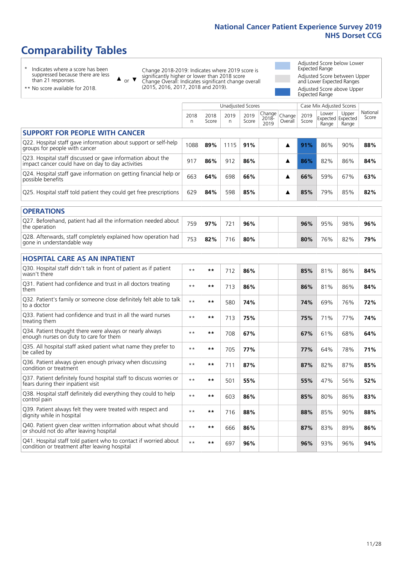# **Comparability Tables**

\* Indicates where a score has been suppressed because there are less than 21 responses.

\*\* No score available for 2018.

 $\triangle$  or  $\nabla$ 

Change 2018-2019: Indicates where 2019 score is significantly higher or lower than 2018 score Change Overall: Indicates significant change overall (2015, 2016, 2017, 2018 and 2019).

Adjusted Score below Lower Expected Range Adjusted Score between Upper and Lower Expected Ranges Adjusted Score above Upper Expected Range

|                                                                                                                   |           |               |            | <b>Unadjusted Scores</b> |                         |                   |               | Case Mix Adjusted Scores |                                     |                   |
|-------------------------------------------------------------------------------------------------------------------|-----------|---------------|------------|--------------------------|-------------------------|-------------------|---------------|--------------------------|-------------------------------------|-------------------|
|                                                                                                                   | 2018<br>n | 2018<br>Score | 2019<br>n. | 2019<br>Score            | Change<br>2018-<br>2019 | Change<br>Overall | 2019<br>Score | Lower<br>Range           | Upper<br>Expected Expected<br>Range | National<br>Score |
| <b>SUPPORT FOR PEOPLE WITH CANCER</b>                                                                             |           |               |            |                          |                         |                   |               |                          |                                     |                   |
| Q22. Hospital staff gave information about support or self-help<br>groups for people with cancer                  | 1088      | 89%           | 1115       | 91%                      |                         | ▲                 | 91%           | 86%                      | 90%                                 | 88%               |
| Q23. Hospital staff discussed or gave information about the<br>impact cancer could have on day to day activities  | 917       | 86%           | 912        | 86%                      |                         | ▲                 | 86%           | 82%                      | 86%                                 | 84%               |
| Q24. Hospital staff gave information on getting financial help or<br>possible benefits                            | 663       | 64%           | 698        | 66%                      |                         | ▲                 | 66%           | 59%                      | 67%                                 | 63%               |
| Q25. Hospital staff told patient they could get free prescriptions                                                | 629       | 84%           | 598        | 85%                      |                         | ▲                 | 85%           | 79%                      | 85%                                 | 82%               |
| <b>OPERATIONS</b>                                                                                                 |           |               |            |                          |                         |                   |               |                          |                                     |                   |
| Q27. Beforehand, patient had all the information needed about<br>the operation                                    | 759       | 97%           | 721        | 96%                      |                         |                   | 96%           | 95%                      | 98%                                 | 96%               |
| Q28. Afterwards, staff completely explained how operation had<br>gone in understandable way                       | 753       | 82%           | 716        | 80%                      |                         |                   | 80%           | 76%                      | 82%                                 | 79%               |
| <b>HOSPITAL CARE AS AN INPATIENT</b>                                                                              |           |               |            |                          |                         |                   |               |                          |                                     |                   |
| Q30. Hospital staff didn't talk in front of patient as if patient<br>wasn't there                                 | $* *$     | $***$         | 712        | 86%                      |                         |                   | 85%           | 81%                      | 86%                                 | 84%               |
| Q31. Patient had confidence and trust in all doctors treating<br>them                                             | $**$      | $***$         | 713        | 86%                      |                         |                   | 86%           | 81%                      | 86%                                 | 84%               |
| Q32. Patient's family or someone close definitely felt able to talk<br>to a doctor                                | $* *$     | $***$         | 580        | 74%                      |                         |                   | 74%           | 69%                      | 76%                                 | 72%               |
| O33. Patient had confidence and trust in all the ward nurses<br>treating them                                     | $**$      | $***$         | 713        | 75%                      |                         |                   | 75%           | 71%                      | 77%                                 | 74%               |
| Q34. Patient thought there were always or nearly always<br>enough nurses on duty to care for them                 | $* *$     | $***$         | 708        | 67%                      |                         |                   | 67%           | 61%                      | 68%                                 | 64%               |
| Q35. All hospital staff asked patient what name they prefer to<br>be called by                                    | $* *$     | $***$         | 705        | 77%                      |                         |                   | 77%           | 64%                      | 78%                                 | 71%               |
| Q36. Patient always given enough privacy when discussing<br>condition or treatment                                | $* *$     | $***$         | 711        | 87%                      |                         |                   | 87%           | 82%                      | 87%                                 | 85%               |
| Q37. Patient definitely found hospital staff to discuss worries or<br>fears during their inpatient visit          | $**$      | $***$         | 501        | 55%                      |                         |                   | 55%           | 47%                      | 56%                                 | 52%               |
| Q38. Hospital staff definitely did everything they could to help<br>control pain                                  | $* *$     | $***$         | 603        | 86%                      |                         |                   | 85%           | 80%                      | 86%                                 | 83%               |
| Q39. Patient always felt they were treated with respect and<br>dignity while in hospital                          | $***$     | $***$         | 716        | 88%                      |                         |                   | 88%           | 85%                      | 90%                                 | 88%               |
| Q40. Patient given clear written information about what should<br>or should not do after leaving hospital         | $* *$     | $***$         | 666        | 86%                      |                         |                   | 87%           | 83%                      | 89%                                 | 86%               |
| Q41. Hospital staff told patient who to contact if worried about<br>condition or treatment after leaving hospital | $**$      | $***$         | 697        | 96%                      |                         |                   | 96%           | 93%                      | 96%                                 | 94%               |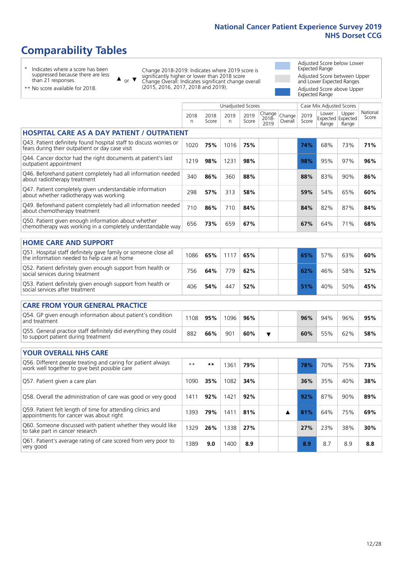Unadjusted Scores **Case Mix Adjusted Scores** 

# **Comparability Tables**

\* Indicates where a score has been suppressed because there are less than 21 responses.

or  $\blacktriangledown$  $\blacktriangle$ 

Change 2018-2019: Indicates where 2019 score is significantly higher or lower than 2018 score Change Overall: Indicates significant change overall (2015, 2016, 2017, 2018 and 2019).

Adjusted Score below Lower Expected Range Adjusted Score between Upper and Lower Expected Ranges Adjusted Score above Upper Expected Range

\*\* No score available for 2018.

|                                                                                                                       | 2018<br>n | 2018<br>Score | 2019<br>n | 2019<br>Score | Change<br>2018-<br>2019 | Change<br>Overall | 2019<br>Score | Lower<br>Expected Expected<br>Range | Upper<br>Range | National<br>Score |
|-----------------------------------------------------------------------------------------------------------------------|-----------|---------------|-----------|---------------|-------------------------|-------------------|---------------|-------------------------------------|----------------|-------------------|
| <b>HOSPITAL CARE AS A DAY PATIENT / OUTPATIENT</b>                                                                    |           |               |           |               |                         |                   |               |                                     |                |                   |
| Q43. Patient definitely found hospital staff to discuss worries or<br>fears during their outpatient or day case visit | 1020      | 75%           | 1016      | 75%           |                         |                   | 74%           | 68%                                 | 73%            | 71%               |
| Q44. Cancer doctor had the right documents at patient's last<br>outpatient appointment                                | 1219      | 98%           | 1231      | 98%           |                         |                   | 98%           | 95%                                 | 97%            | 96%               |
| Q46. Beforehand patient completely had all information needed<br>about radiotherapy treatment                         | 340       | 86%           | 360       | 88%           |                         |                   | 88%           | 83%                                 | 90%            | 86%               |
| Q47. Patient completely given understandable information<br>about whether radiotherapy was working                    | 298       | 57%           | 313       | 58%           |                         |                   | 59%           | 54%                                 | 65%            | 60%               |
| Q49. Beforehand patient completely had all information needed<br>about chemotherapy treatment                         | 710       | 86%           | 710       | 84%           |                         |                   | 84%           | 82%                                 | 87%            | 84%               |
| Q50. Patient given enough information about whether<br>chemotherapy was working in a completely understandable way    | 656       | 73%           | 659       | 67%           |                         |                   | 67%           | 64%                                 | 71%            | 68%               |
| <b>HOME CARE AND SUPPORT</b>                                                                                          |           |               |           |               |                         |                   |               |                                     |                |                   |
| Q51. Hospital staff definitely gave family or someone close all<br>the information needed to help care at home        | 1086      | 65%           | 1117      | 65%           |                         |                   | 65%           | 57%                                 | 63%            | 60%               |
| Q52. Patient definitely given enough support from health or<br>social services during treatment                       | 756       | 64%           | 779       | 62%           |                         |                   | 62%           | 46%                                 | 58%            | 52%               |
| Q53. Patient definitely given enough support from health or<br>social services after treatment                        | 406       | 54%           | 447       | 52%           |                         |                   | 51%           | 40%                                 | 50%            | 45%               |
| <b>CARE FROM YOUR GENERAL PRACTICE</b>                                                                                |           |               |           |               |                         |                   |               |                                     |                |                   |
| Q54. GP given enough information about patient's condition<br>and treatment                                           | 1108      | 95%           | 1096      | 96%           |                         |                   | 96%           | 94%                                 | 96%            | 95%               |
| Q55. General practice staff definitely did everything they could<br>to support patient during treatment               | 882       | 66%           | 901       | 60%           | ▼                       |                   | 60%           | 55%                                 | 62%            | 58%               |
| <b>YOUR OVERALL NHS CARE</b>                                                                                          |           |               |           |               |                         |                   |               |                                     |                |                   |
| Q56. Different people treating and caring for patient always<br>work well together to give best possible care         | $**$      | $***$         | 1361      | 79%           |                         |                   | 78%           | 70%                                 | 75%            | 73%               |
| Q57. Patient given a care plan                                                                                        | 1090      | 35%           | 1082      | 34%           |                         |                   | 36%           | 35%                                 | 40%            | 38%               |
| Q58. Overall the administration of care was good or very good                                                         | 1411      | 92%           | 1421      | 92%           |                         |                   | 92%           | 87%                                 | 90%            | 89%               |
| Q59. Patient felt length of time for attending clinics and<br>appointments for cancer was about right                 | 1393      | 79%           | 1411      | 81%           |                         | ▲                 | 81%           | 64%                                 | 75%            | 69%               |
| Q60. Someone discussed with patient whether they would like<br>to take part in cancer research                        | 1329      | 26%           | 1338      | 27%           |                         |                   | 27%           | 23%                                 | 38%            | 30%               |
| Q61. Patient's average rating of care scored from very poor to<br>very good                                           | 1389      | 9.0           | 1400      | 8.9           |                         |                   | 8.9           | 8.7                                 | 8.9            | 8.8               |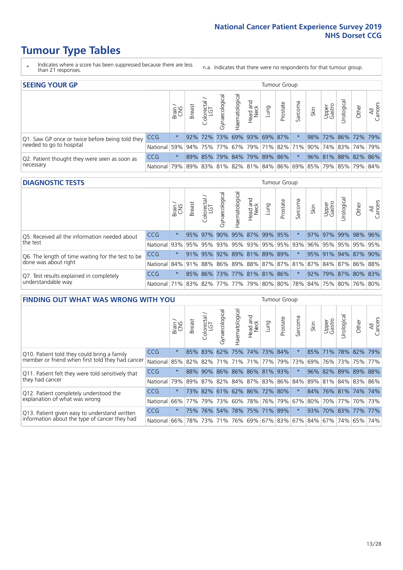- \* Indicates where a score has been suppressed because there are less than 21 responses.
- n.a. Indicates that there were no respondents for that tumour group.

| <b>SEEING YOUR GP</b>                           |            |              |               |                  |                    |                |                             |      | Tumour Group |         |      |                 |                                                     |       |                |
|-------------------------------------------------|------------|--------------|---------------|------------------|--------------------|----------------|-----------------------------|------|--------------|---------|------|-----------------|-----------------------------------------------------|-------|----------------|
|                                                 |            | Brain<br>CNS | <b>Breast</b> | olorectal<br>LGT | ᠊ᢛ<br>Gynaecologic | Haematological | Head and<br>Neck            | Lung | Prostate     | Sarcoma | Skin | Upper<br>Gastro | $\sigma$<br>Jrologica                               | Other | All<br>Cancers |
| Q1. Saw GP once or twice before being told they | <b>CCG</b> | $\star$      |               | $92\%$ 72%       |                    |                | 73% 69% 93% 69% 87%         |      |              |         | 98%  |                 | 72% 86% 72% 79%                                     |       |                |
| needed to go to hospital                        | National   | 59%          |               |                  |                    |                |                             |      |              |         |      |                 | 94% 75% 77% 67% 79% 71% 82% 71% 90% 74% 83% 74% 79% |       |                |
| Q2. Patient thought they were seen as soon as   | <b>CCG</b> | $\star$      |               |                  |                    |                | 89% 85% 79% 84% 79% 89% 86% |      |              |         |      |                 | 96% 81% 88% 82% 86%                                 |       |                |
| necessary                                       | National   | 79%          |               |                  |                    |                |                             |      |              |         |      |                 | 89% 83% 81% 82% 81% 84% 86% 69% 85% 79% 85% 79% 84% |       |                |

#### **DIAGNOSTIC TESTS** Tumour Group

|                                                   |                                                                  | S<br>CNS | <b>Breast</b> | Colorectal<br>LGT | $\overline{\sigma}$<br>Gynaecologic | Haematological      | Head and<br>Neck | Lung | Prostate                    | Sarcoma | Skin | Upper<br>Gastro | Irological          | Other | All<br>Cancers |
|---------------------------------------------------|------------------------------------------------------------------|----------|---------------|-------------------|-------------------------------------|---------------------|------------------|------|-----------------------------|---------|------|-----------------|---------------------|-------|----------------|
| Q5. Received all the information needed about     | <b>CCG</b>                                                       | $\star$  |               | 95% 97%           |                                     | 90% 95% 87% 99% 95% |                  |      |                             |         |      |                 | 97% 97% 99% 98% 96% |       |                |
| the test                                          | National                                                         | 93%      | 95%           | 95%               |                                     |                     |                  |      | 93% 95% 93% 95% 95% 93%     |         | 96%  |                 | 95% 95% 95% 95%     |       |                |
| Q6. The length of time waiting for the test to be | <b>CCG</b>                                                       | $^\star$ |               | 91% 95%           |                                     |                     |                  |      | 92% 89% 81% 89% 89%         |         |      |                 | 95% 91% 94% 87% 90% |       |                |
| done was about right                              | National 84% 91% 88% 86% 89% 88% 87% 87% 81% 87% 84% 87% 86% 88% |          |               |                   |                                     |                     |                  |      |                             |         |      |                 |                     |       |                |
| Q7. Test results explained in completely          | <b>CCG</b>                                                       | $\star$  |               |                   |                                     |                     |                  |      | 85% 86% 73% 77% 81% 81% 86% | $\star$ |      |                 | 92% 79% 87% 80% 83% |       |                |
| understandable way                                | National 71% 83% 82% 77% 77% 79% 80% 80% 78% 84% 75% 80% 76% 80% |          |               |                   |                                     |                     |                  |      |                             |         |      |                 |                     |       |                |

| <b>FINDING OUT WHAT WAS WRONG WITH YOU</b>        |            |         |               |                       |                |                                 |                  |      | <b>Tumour Group</b> |          |      |                 |                     |       |                |
|---------------------------------------------------|------------|---------|---------------|-----------------------|----------------|---------------------------------|------------------|------|---------------------|----------|------|-----------------|---------------------|-------|----------------|
|                                                   |            | Brain   | <b>Breast</b> | olorectal<br>LGT<br>Ū | Gynaecological | Haematological                  | Head and<br>Neck | Lung | Prostate            | Sarcoma  | Skin | Upper<br>Gastro | Urological          | Other | All<br>Cancers |
| Q10. Patient told they could bring a family       | <b>CCG</b> | $\star$ |               | 85% 83%               |                | 62% 75% 74% 73% 84%             |                  |      |                     | $\star$  | 85%  |                 | 71% 78% 82%         |       | 79%            |
| member or friend when first told they had cancer  | National   | 85%     | 82%           | 82%                   |                | 71% 71% 71% 71% 77% 79%         |                  |      |                     | 73%      | 69%  |                 | 76% 73%             |       | 75% 77%        |
| Q11. Patient felt they were told sensitively that | CCG        | $\star$ | 88%           | 90%                   |                | 86% 86% 86% 81% 93%             |                  |      |                     | $\star$  |      |                 | 96% 82% 89% 89% 88% |       |                |
| they had cancer                                   | National   | 79%     |               |                       |                | 89% 87% 82% 84% 87% 83% 86% 84% |                  |      |                     |          |      |                 | 89% 81% 84% 83% 86% |       |                |
| Q12. Patient completely understood the            | <b>CCG</b> | $\star$ |               |                       |                | 73% 82% 61% 62% 86% 72% 80%     |                  |      |                     | $^\star$ | 84%  |                 | 76% 81% 74% 74%     |       |                |
| explanation of what was wrong                     | National   | 66%     | 77%           | 79%                   | 73%            | 60% 78% 76% 79%                 |                  |      |                     | 67%      | 80%  |                 | 70% 77%             |       | 70% 73%        |
| Q13. Patient given easy to understand written     | <b>CCG</b> | $\star$ | 75%           | 76%                   |                | 54% 78% 75% 71% 89%             |                  |      |                     | $\star$  | 93%  |                 | 70% 83% 77%         |       | 77%            |
| information about the type of cancer they had     | National   | 66%     | 78%           | 73%                   |                | 71% 76% 69% 67% 83% 67%         |                  |      |                     |          |      |                 | 84%   67%   74%     | 65%   | 74%            |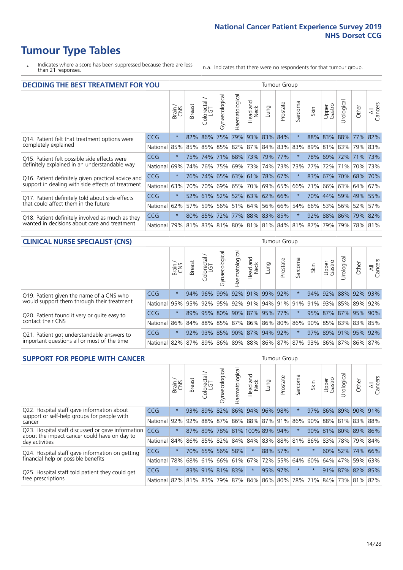- \* Indicates where a score has been suppressed because there are less than 21 responses.
- n.a. Indicates that there were no respondents for that tumour group.

| <b>DECIDING THE BEST TREATMENT FOR YOU</b>         |            |         |               |                            |                |                |                        |                                   | <b>Tumour Group</b> |                                         |      |                 |                 |             |                |
|----------------------------------------------------|------------|---------|---------------|----------------------------|----------------|----------------|------------------------|-----------------------------------|---------------------|-----------------------------------------|------|-----------------|-----------------|-------------|----------------|
|                                                    |            | Brain   | <b>Breast</b> | olorectal<br>LGT<br>$\cup$ | Gynaecological | Haematological | ad and<br>Neck<br>Head | Lung                              | Prostate            | arcoma<br>vĀ                            | Skin | Upper<br>Gastro | Jrological      | Other       | All<br>Cancers |
| Q14. Patient felt that treatment options were      | <b>CCG</b> | $\star$ | 82%           | 86%                        | 75%            |                |                        | 79% 93% 83% 84%                   |                     |                                         | 88%  |                 | 83% 88% 77%     |             | 82%            |
| completely explained                               | National   | 85%     | 85%           | 85%                        |                |                |                        | 85%   82%   87%   84%   83%   83% |                     |                                         | 89%  |                 | 81% 83% 79% 83% |             |                |
| Q15. Patient felt possible side effects were       | <b>CCG</b> | $\star$ | 75%           | 74%                        |                |                |                        | 71% 68% 73% 79% 77%               |                     |                                         | 78%  |                 | 69% 72% 71% 73% |             |                |
| definitely explained in an understandable way      | National   | 69%     | 74%           | 76%                        |                | 75% 69% 73%    |                        |                                   | 74% 73%             | 73%                                     | 77%  | 72%             | 71%             | 70% 73%     |                |
| Q16. Patient definitely given practical advice and | CCG        | $\star$ | 76%           |                            |                |                |                        | 74% 65% 63% 61% 78% 67%           |                     | $^\star$                                | 83%  | 67% 70% 68% 70% |                 |             |                |
| support in dealing with side effects of treatment  | National   | 63%     | 70%           | 70%                        |                |                |                        | 69% 65% 70% 69% 65%               |                     | 66%                                     | 71%  |                 | 66% 63% 64% 67% |             |                |
| Q17. Patient definitely told about side effects    | CCG        | $\star$ |               |                            |                |                |                        | 52% 61% 52% 52% 63% 62% 66%       |                     | $\ast$                                  | 70%  |                 | 44% 59% 49% 55% |             |                |
| that could affect them in the future               | National   | 62%     | 57%           | 59%                        |                |                |                        | 56% 51% 64% 56% 66%               |                     | 54%                                     | 66%  |                 | 53% 56% 52%     |             | 57%            |
| Q18. Patient definitely involved as much as they   | <b>CCG</b> | $\star$ |               | 80% 85%                    |                |                |                        | 72% 77% 88% 83% 85%               |                     | $\ast$                                  | 92%  |                 | 88% 86% 79% 82% |             |                |
| wanted in decisions about care and treatment       | National   | 79%     |               |                            |                |                |                        |                                   |                     | 81% 83% 81% 80% 81% 81% 84% 81% 87% 79% |      |                 |                 | 79% 78% 81% |                |

### **CLINICAL NURSE SPECIALIST (CNS)** Tumour Group

|                                             |            | Brain<br>CNS | <b>Breast</b>   | Colorectal<br>LGT | Gynaecologic                | ᠊ᢛ<br>Ü<br>aematologi | Head and<br>Neck | Lung    | Prostate | Sarcoma | Skin | Upper<br>Gastro | ᅲ<br>Irologica | Other                                               | All<br>Cancers |
|---------------------------------------------|------------|--------------|-----------------|-------------------|-----------------------------|-----------------------|------------------|---------|----------|---------|------|-----------------|----------------|-----------------------------------------------------|----------------|
| Q19. Patient given the name of a CNS who    | <b>CCG</b> | $\star$      | 94%             | $ 96\%$           | 99%                         |                       | 92% 91%          | 99% 92% |          |         | 94%  | 92%             |                | 88% 92% 93%                                         |                |
| would support them through their treatment  | National   |              | 95% 95% 92% 95% |                   |                             |                       |                  |         |          |         |      |                 |                | 92% 91% 94% 91% 91% 91% 93% 85% 89% 9               | 92%            |
| Q20. Patient found it very or quite easy to | <b>CCG</b> | $\star$      |                 |                   | 89% 95% 80% 90% 87% 95% 77% |                       |                  |         |          | $\star$ |      |                 |                | 95% 87% 87% 95% 90%                                 |                |
| contact their CNS                           | National   |              |                 |                   |                             |                       |                  |         |          |         |      |                 |                | 86% 84% 88% 85% 87% 86% 86% 80% 86% 90% 85% 83% 83% | 85%            |
| Q21. Patient got understandable answers to  | CCG        | $\star$      |                 | $92\%$ 93%        | 85%                         |                       | 90% 87% 94% 92%  |         |          | $\star$ |      |                 | 97% 89% 91%    | 95%                                                 | 92%            |
| important questions all or most of the time | National   |              |                 |                   |                             |                       |                  |         |          |         |      |                 |                | 82% 87% 89% 86% 89% 88% 86% 87% 87% 93% 86% 87% 86% | 87%            |

| <b>SUPPORT FOR PEOPLE WITH CANCER</b>                                                             |            |         |               |                        |                 |                |                             |      | Tumour Group |              |                         |                 |           |                 |                |
|---------------------------------------------------------------------------------------------------|------------|---------|---------------|------------------------|-----------------|----------------|-----------------------------|------|--------------|--------------|-------------------------|-----------------|-----------|-----------------|----------------|
|                                                                                                   |            | Brain   | <b>Breast</b> | olorectal.<br>LGT<br>Ũ | Gynaecological  | Haematological | ad and<br>Neck<br>Head      | Lung | Prostate     | arcoma<br>ιñ | Skin                    | Upper<br>Gastro | Jrologica | Other           | All<br>Cancers |
| Q22. Hospital staff gave information about                                                        | <b>CCG</b> | $\star$ | 93%           | 89%                    | 82%             |                | 86% 94%                     | 96%  | 98%          |              | 97%                     | 86%             | 89%       | 90%             | 91%            |
| support or self-help groups for people with<br>cancer                                             | National   | 92%     | 92%           | 88%                    |                 |                | 87% 86% 88% 87% 91%         |      |              | 86%          | 90%                     |                 |           | 88% 81% 83% 88% |                |
| Q23. Hospital staff discussed or gave information<br>about the impact cancer could have on day to | CCG        | $\star$ | 87%           | 89%                    |                 |                | 78% 81% 100% 89% 94%        |      |              | $\star$      | 90%                     | 81%             |           | 80% 89% 86%     |                |
| day activities                                                                                    | National   | 84%     |               |                        | 86% 85% 82%     |                | 84% 84% 83% 88%             |      |              | 81%          | 86%                     | 83%             |           | 78% 79%         | 84%            |
| Q24. Hospital staff gave information on getting                                                   | CCG        | $\star$ |               | 70% 65%                | 56%             | 58%            | $\star$                     |      | 88% 57%      | $\ast$       | $\star$                 |                 |           | 60% 52% 74% 66% |                |
| financial help or possible benefits                                                               | National   | 78%     |               | 68% 61%                |                 | 66% 61% 67%    |                             |      | 72% 55%      |              | 64% 60%                 | 64%             | 47%       | 59%             | 63%            |
| Q25. Hospital staff told patient they could get                                                   | CCG        | $\star$ |               |                        | 83% 91% 81% 83% |                | $\star$                     |      | 95% 97%      | $\ast$       |                         |                 |           | 91% 87% 82% 85% |                |
| free prescriptions                                                                                | National I | 82%     |               |                        |                 |                | 81% 83% 79% 87% 84% 86% 80% |      |              |              | 78% 71% 84% 73% 81% 82% |                 |           |                 |                |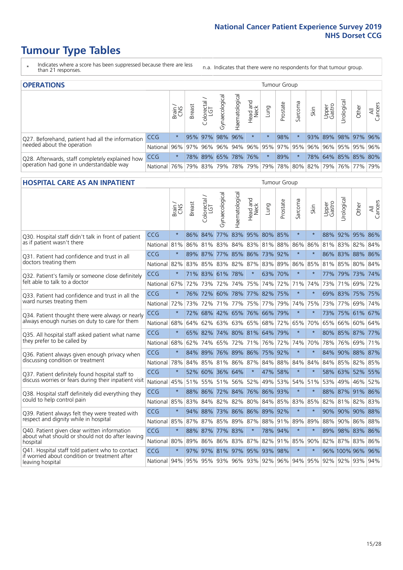- \* Indicates where a score has been suppressed because there are less than 21 responses.
- n.a. Indicates that there were no respondents for that tumour group.

| <b>OPERATIONS</b>                                                                           |              |              |        |                   |                |                     |                  |         |          | Tumour Group |      |                 |            |                                                         |                |  |  |  |
|---------------------------------------------------------------------------------------------|--------------|--------------|--------|-------------------|----------------|---------------------|------------------|---------|----------|--------------|------|-----------------|------------|---------------------------------------------------------|----------------|--|--|--|
|                                                                                             |              | Brain<br>CNS | Breast | Colorectal<br>LGT | Gynaecological | Haematological      | Head and<br>Neck | Lung    | Prostate | Sarcoma      | Skin | Upper<br>Gastro | Urological | Other                                                   | All<br>Cancers |  |  |  |
| Q27. Beforehand, patient had all the information                                            | CCG          | $\star$      |        | 95% 97%           | 98%            | 96%                 | $\star$          | $\star$ | 98%      |              |      |                 |            | 93% 89% 98% 97% 96%                                     |                |  |  |  |
| needed about the operation                                                                  | National I   | 96%          |        |                   |                |                     |                  |         |          |              |      |                 |            | 97% 96% 96% 94% 96% 95% 97% 95% 96% 96% 95% 95% 95% 96% |                |  |  |  |
| Q28. Afterwards, staff completely explained how<br>operation had gone in understandable way | <b>CCG</b>   | $\star$      |        |                   |                | 78% 89% 65% 78% 76% |                  | $\star$ | 89%      |              |      |                 |            | 78% 64% 85% 85% 80%                                     |                |  |  |  |
|                                                                                             | National 76% |              |        |                   |                |                     |                  |         |          |              |      |                 |            | 79% 83% 79% 78% 79% 79% 78% 80% 82% 79% 76% 77%         | 79%            |  |  |  |

#### **HOSPITAL CARE AS AN INPATIENT** Tumour Group

|                                                                                                   |                                                                  | Brain   | <b>Breast</b> | Colorectal /<br>LGT         | Gynaecological | Haematological | ead and<br>Neck<br>Head | Lung                | Prostate | Sarcoma | Skin    | Upper<br>Gastro | Urological       | Other       | All<br>Cancers |
|---------------------------------------------------------------------------------------------------|------------------------------------------------------------------|---------|---------------|-----------------------------|----------------|----------------|-------------------------|---------------------|----------|---------|---------|-----------------|------------------|-------------|----------------|
| Q30. Hospital staff didn't talk in front of patient                                               | CCG                                                              | $\star$ | 86%           | 84%                         |                | 77% 83%        |                         | 95% 80%             | 85%      | $\star$ | $\star$ | 88%             |                  | 92% 95% 86% |                |
| as if patient wasn't there                                                                        | National                                                         | 81%     |               | 86% 81% 83%                 |                |                |                         | 84% 83% 81% 88%     |          | 86%     | 86%     |                 | 81% 83% 82% 84%  |             |                |
| 031. Patient had confidence and trust in all                                                      | CCG                                                              | $\star$ | 89% 87%       |                             | 77%            |                |                         | 85% 86% 73% 92%     |          | $\star$ |         |                 | 86% 83% 88% 86%  |             |                |
| doctors treating them                                                                             | National                                                         | 82%     | 83%           | 85%                         | 83%            | 82%            | 87%                     | 83%                 | 89%      | 86%     | 85%     | 81%             | 85%              | 80%         | 84%            |
| Q32. Patient's family or someone close definitely                                                 | CCG                                                              | $\star$ |               | 71% 83% 61% 78%             |                |                | $\star$                 | 63% 70%             |          | $\star$ |         |                 | 77% 79% 73% 74%  |             |                |
| felt able to talk to a doctor                                                                     | National 67%                                                     |         | 72%           | 73%                         | 72%            | 74%            | 75%                     | 74%                 | 72%      | 71%     | 74%     | 73%             | 71%              | 69%         | 72%            |
| Q33. Patient had confidence and trust in all the                                                  | CCG                                                              | $\star$ | 76%           | 72%                         | 60%            |                |                         | 78% 77% 82% 75%     |          | $\star$ | $\star$ |                 | 69% 83%          | 75% 75%     |                |
| ward nurses treating them                                                                         | National                                                         | 72%     | 73%           | 72%                         |                | 71% 77%        |                         | 75% 77% 79%         |          | 74%     | 75%     |                 | 73% 77%          | 69% 74%     |                |
| Q34. Patient thought there were always or nearly<br>always enough nurses on duty to care for them | CCG                                                              | $\star$ | 72%           | 68% 42%                     |                |                |                         | 65% 76% 66% 79%     |          | $\star$ | $\star$ | 73%             | 75% 61% 67%      |             |                |
|                                                                                                   | National                                                         | 68%     | 64%           | 62% 63% 63% 65% 68% 72%     |                |                |                         |                     |          | 65%     | 70%     |                 | 65% 66%          | 60% 64%     |                |
| Q35. All hospital staff asked patient what name                                                   | CCG                                                              | $\star$ |               | 65% 82% 74% 80% 81% 64% 79% |                |                |                         |                     |          | $\star$ | $\star$ |                 | 80% 85% 87% 77%  |             |                |
| they prefer to be called by                                                                       | National                                                         | 68%     | 62%           | 74%                         | 65%            | 72%            |                         | 71% 76% 72%         |          | 74%     | 70%     | 78%             | 76%              | 69% 71%     |                |
| Q36. Patient always given enough privacy when                                                     | CCG                                                              | $\star$ | 84%           | 89%                         |                |                |                         | 76% 89% 86% 75% 92% |          | $\star$ | $\star$ | 84%             |                  | 90% 88% 87% |                |
| discussing condition or treatment                                                                 | National                                                         | 78%     |               | 84% 85% 81% 86% 87% 84% 88% |                |                |                         |                     |          | 84%     | 84%     |                 | 84% 85% 82% 85%  |             |                |
| Q37. Patient definitely found hospital staff to                                                   | CCG                                                              | $\star$ | 52%           | 60% 36% 64%                 |                |                | $\star$                 | 47%                 | 58%      | $\star$ | $\star$ |                 | 58% 63% 52% 55%  |             |                |
| discuss worries or fears during their inpatient visit                                             | National                                                         | 45%     |               | 51% 55% 51% 56% 52% 49% 53% |                |                |                         |                     |          | 54%     | 51%     |                 | 53% 49%          | 46% 52%     |                |
| Q38. Hospital staff definitely did everything they                                                | CCG                                                              | $\star$ |               | 88% 86% 72% 84% 76% 86% 93% |                |                |                         |                     |          | $\star$ | $\star$ |                 | 88% 87% 91% 86%  |             |                |
| could to help control pain                                                                        | National                                                         | 85%     | 83%           | 84%                         | 82%            |                |                         | 82% 80% 84% 85%     |          | 83%     | 85%     | 82%             |                  | 81% 82% 83% |                |
| Q39. Patient always felt they were treated with                                                   | CCG                                                              | $\star$ | 94%           | 88%                         |                |                |                         | 73% 86% 86% 89% 92% |          | $\star$ | $\star$ |                 | 90% 90% 90% 88%  |             |                |
| respect and dignity while in hospital                                                             | National                                                         | 85%     | 87%           | 87%                         | 85%            | 89% 87%        |                         | 88% 91%             |          | 89%     | 89%     | 88%             |                  | 90% 86%     | 88%            |
| Q40. Patient given clear written information<br>about what should or should not do after leaving  | CCG                                                              | $\star$ | 88% 87%       |                             | 77%            | 83%            | $\star$                 | 78% 94%             |          | $\ast$  | $\star$ | 89%             |                  | 98% 83% 86% |                |
| hospital                                                                                          | National 80%                                                     |         | 89%           | 86%                         | 86%            |                |                         | 83% 87% 82% 91%     |          | 85%     | 90%     |                 | 82% 87% 83%      |             | 86%            |
| Q41. Hospital staff told patient who to contact                                                   | CCG                                                              | $\star$ | 97%           | 97% 81% 97% 95% 93%         |                |                |                         |                     | 98%      | $\star$ | $\star$ |                 | 96% 100% 96% 96% |             |                |
| if worried about condition or treatment after<br>leaving hospital                                 | National 94% 95% 95% 93% 96% 93% 92% 96% 94% 95% 92% 92% 93% 94% |         |               |                             |                |                |                         |                     |          |         |         |                 |                  |             |                |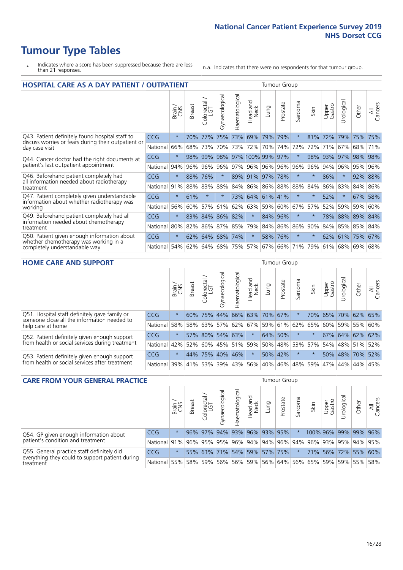- \* Indicates where a score has been suppressed because there are less than 21 responses.
- n.a. Indicates that there were no respondents for that tumour group.

| HOSPITAL CARE AS A DAY PATIENT / OUTPATIENT                                                                              |            |              |               |                                  |                |                |                        |         |          |          | <b>Tumour Group</b> |                 |             |       |                |  |  |  |  |  |
|--------------------------------------------------------------------------------------------------------------------------|------------|--------------|---------------|----------------------------------|----------------|----------------|------------------------|---------|----------|----------|---------------------|-----------------|-------------|-------|----------------|--|--|--|--|--|
|                                                                                                                          |            | Brain<br>CNS | <b>Breast</b> | ╮<br>olorectal.<br>LGT<br>$\cup$ | Gynaecological | Haematological | ad and<br>Neck<br>Head | Lung    | Prostate | Sarcoma  | Skin                | Upper<br>Gastro | Urological  | Other | All<br>Cancers |  |  |  |  |  |
| Q43. Patient definitely found hospital staff to<br>discuss worries or fears during their outpatient or<br>day case visit | <b>CCG</b> | $\star$      | 70%           | 77%                              | 75%            | 73%            | 69%                    | 79%     | 79%      | $\star$  | 81%                 | 72%             | 79%         | 75%   | 75%            |  |  |  |  |  |
|                                                                                                                          | National   | 66%          | 68%           | 73%                              | 70%            | 73%            | 72%                    | 70%     | 74%      | 72%      | 72%                 | 71%             | 67%         | 68%   | 71%            |  |  |  |  |  |
| Q44. Cancer doctor had the right documents at<br>patient's last outpatient appointment                                   | CCG        | $\star$      | 98%           | 99%                              | 98%            |                | 97% 100% 99%           |         | 97%      |          | 98%                 | 93%             | 97%         | 98%   | 98%            |  |  |  |  |  |
|                                                                                                                          | National   | 94%          | 96%           | 96%                              | 96%            | 97%            | 96%                    |         | 96% 96%  | 96%      | 96%                 | 94%             | 96%         | 95%   | 96%            |  |  |  |  |  |
| Q46. Beforehand patient completely had                                                                                   | CCG        | $\star$      | 88%           | 76%                              | $\star$        |                | 89% 91% 97%            |         | 78%      | $^\star$ | $\ast$              | 86%             | $\star$     | 92%   | 88%            |  |  |  |  |  |
| all information needed about radiotherapy<br>treatment                                                                   | National   | 91%          | 88%           | 83%                              | 88%            | 84%            | 86%                    | 86%     | 88%      | 88%      | 84%                 | 86%             | 83%         | 84%   | 86%            |  |  |  |  |  |
| Q47. Patient completely given understandable                                                                             | CCG        | $\star$      | 61%           |                                  | $\star$        |                | 73% 64%                | 61% 41% |          | $\star$  |                     | 52%             | $\star$     | 67%   | 58%            |  |  |  |  |  |
| information about whether radiotherapy was<br>working                                                                    | National   | 56%          | 60%           | 57%                              | 61%            | 62%            | 63%                    | 59%     | 60%      | 67%      | 57%                 | 52%             | 59%         | 59%   | 60%            |  |  |  |  |  |
| Q49. Beforehand patient completely had all                                                                               | CCG        | $\star$      | 83%           | 84%                              | 86%            | 82%            | $\star$                | 84%     | 96%      | $\star$  |                     | 78%             | 88%         | 89%   | 84%            |  |  |  |  |  |
| information needed about chemotherapy<br>treatment                                                                       | National   | 80%          | 82%           | 86%                              | 87%            | 85%            | 79%                    |         | 84% 86%  | 86%      | 90%                 | 84%             | 85% 85% 84% |       |                |  |  |  |  |  |
| Q50. Patient given enough information about<br>whether chemotherapy was working in a<br>completely understandable way    | CCG        | $\star$      | 62%           | 64%                              | 68%            | 74%            | $\star$                |         | 58% 76%  | $\star$  | $\ast$              |                 | 62% 61%     | 75%   | 67%            |  |  |  |  |  |
|                                                                                                                          | National   | 54%          | 62%           | 64%                              | 68%            | 75%            | 57%                    | 67%     | 66%      | 71%      | 79%                 | 61%             | 68%         | 69%   | 68%            |  |  |  |  |  |

#### **HOME CARE AND SUPPORT** Tumour Group

|                                                                                                                   |                      |              |               |                   | $\overline{\sigma}$ |                 |                  |                     |          |         |                                     |                 |           |                       |                |
|-------------------------------------------------------------------------------------------------------------------|----------------------|--------------|---------------|-------------------|---------------------|-----------------|------------------|---------------------|----------|---------|-------------------------------------|-----------------|-----------|-----------------------|----------------|
|                                                                                                                   |                      | Brain<br>CNS | <b>Breast</b> | Colorectal<br>LGT | Gynaecologic        | Haematological  | Head and<br>Neck | <b>Lung</b>         | Prostate | Sarcoma | Skin                                | Upper<br>Gastro | rological | Other                 | All<br>Cancers |
| Q51. Hospital staff definitely gave family or<br>someone close all the information needed to<br>help care at home | <b>CCG</b>           | $\star$      |               | 60% 75%           |                     |                 |                  | 44% 66% 63% 70% 67% |          |         | 70%                                 |                 |           | 65% 70% 62% 65%       |                |
|                                                                                                                   | National             | 58%          |               | 58% 63%           |                     |                 |                  |                     |          |         | 57% 62% 67% 59% 61% 62% 65%         |                 |           | 60%   59%   55%   60% |                |
| Q52. Patient definitely given enough support                                                                      | <b>CCG</b>           | $\star$      |               |                   |                     | 57% 80% 54% 63% | $\star$          |                     | 64% 50%  |         |                                     |                 |           | 67% 64% 62% 62%       |                |
| from health or social services during treatment                                                                   | National             | 42%          |               |                   |                     |                 |                  |                     |          |         | 52% 60% 45% 51% 59% 50% 48% 53% 57% |                 |           | 54% 48% 51%           | 52%            |
| Q53. Patient definitely given enough support<br>from health or social services after treatment                    | <b>CCG</b>           | $\star$      |               | 44% 75%           |                     | 40% 46%         | $\star$          |                     | 50% 42%  |         |                                     |                 |           | 50% 48% 70%           | 52%            |
|                                                                                                                   | National 39% 41% 53% |              |               |                   |                     | 39% 43%         |                  | 56% 40% 46%         |          |         | 48% 59%                             | 47%             | 44%       | 44%                   | 45%            |

| <b>CARE FROM YOUR GENERAL PRACTICE</b>                                                                     |                                                                  |              |               |                   |               |                             |                  |      | Tumour Group |         |                                                                 |                 |                      |       |                |  |  |  |
|------------------------------------------------------------------------------------------------------------|------------------------------------------------------------------|--------------|---------------|-------------------|---------------|-----------------------------|------------------|------|--------------|---------|-----------------------------------------------------------------|-----------------|----------------------|-------|----------------|--|--|--|
|                                                                                                            |                                                                  | Brain<br>CNS | <b>Breast</b> | Colorectal<br>LGT | Gynaecologica | Haematological              | Head and<br>Neck | Lung | Prostate     | Sarcoma | Skin                                                            | Upper<br>Gastro | Φ<br>Urologica       | Other | All<br>Cancers |  |  |  |
| Q54. GP given enough information about                                                                     | <b>CCG</b>                                                       | $\star$      |               | $96\%$ 97%        |               | 94% 93% 96% 93% 95%         |                  |      |              |         |                                                                 |                 | 100% 96% 99% 99% 96% |       |                |  |  |  |
| patient's condition and treatment                                                                          | National 91% 96% 95% 95% 96% 94% 94% 96% 94% 96% 93% 95% 94% 95% |              |               |                   |               |                             |                  |      |              |         |                                                                 |                 |                      |       |                |  |  |  |
| Q55. General practice staff definitely did<br>everything they could to support patient during<br>treatment | <b>CCG</b>                                                       | $\star$      |               |                   |               | 55% 63% 71% 54% 59% 57% 75% |                  |      |              |         |                                                                 |                 | 71% 56% 72% 55% 60%  |       |                |  |  |  |
|                                                                                                            | National 55%                                                     |              |               | 58% 59%           |               |                             |                  |      |              |         | 56%   56%   59%   56%   64%   56%   65%   59%   59%   55%   58% |                 |                      |       |                |  |  |  |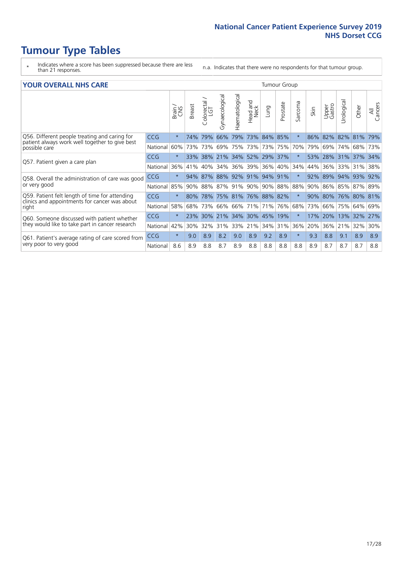- \* Indicates where a score has been suppressed because there are less than 21 responses.
- n.a. Indicates that there were no respondents for that tumour group.

#### **YOUR OVERALL NHS CARE** THE CONSTRUCTION OF THE THROUP GROUP TUMOUR GROUP

|            | Brain   | <b>Breast</b> | olorectal<br>LGT<br>Ū | Gynaecological | Haematological     | <b>Bad and<br/>Neck</b><br>Head | Lung                      | Prostate   | arcoma<br>$\sqrt{ }$                                                                                            | Skin | Upper<br>Gastro | लु<br>Urologia | Other          | All<br>Cancers                                                            |  |  |  |  |  |  |  |  |
|------------|---------|---------------|-----------------------|----------------|--------------------|---------------------------------|---------------------------|------------|-----------------------------------------------------------------------------------------------------------------|------|-----------------|----------------|----------------|---------------------------------------------------------------------------|--|--|--|--|--|--|--|--|
| <b>CCG</b> | $\star$ | 74%           | 79%                   | 66%            | 79%                | 73%                             | 84%                       |            | $\star$                                                                                                         | 86%  | 82%             |                |                | 79%                                                                       |  |  |  |  |  |  |  |  |
| National   | 60%     |               |                       | 69%            | 75%                |                                 |                           |            | 70%                                                                                                             | 79%  | 69%             | 74%            |                | 73%                                                                       |  |  |  |  |  |  |  |  |
| <b>CCG</b> | $\star$ |               |                       |                |                    |                                 |                           |            |                                                                                                                 | 53%  |                 |                |                |                                                                           |  |  |  |  |  |  |  |  |
| National   | 36%     | 41%           | 40%                   | 34%            | 36%                | 39%                             | 36%                       |            | 34%                                                                                                             | 44%  | 36%             | 33%            | 31%            | 38%                                                                       |  |  |  |  |  |  |  |  |
| <b>CCG</b> | $\star$ | 94%           |                       |                |                    |                                 |                           |            | $\star$                                                                                                         | 92%  |                 |                |                | 92%                                                                       |  |  |  |  |  |  |  |  |
| National   | 85%     |               |                       | 87%            |                    | 90%                             |                           |            | 88%                                                                                                             | 90%  | 86%             |                |                |                                                                           |  |  |  |  |  |  |  |  |
| <b>CCG</b> | $\star$ | $80\%$        |                       |                |                    |                                 |                           |            | $\star$                                                                                                         | 90%  |                 |                |                |                                                                           |  |  |  |  |  |  |  |  |
| National   | 58%     | 68%           | 73%                   | 66%            | 66%                | 71%                             | 71%                       |            | 68%                                                                                                             | 73%  | 66%             | 75%            | 64%            | 69%                                                                       |  |  |  |  |  |  |  |  |
| <b>CCG</b> | $\star$ | 23%           | 30%                   |                |                    |                                 |                           | 19%        | $\star$                                                                                                         | 17%  | 20%             | 13%            |                | 27%                                                                       |  |  |  |  |  |  |  |  |
| National   | 42%     | 30%           | 32%                   | 31%            | 33%                |                                 | 34%                       |            | 36%                                                                                                             | 20%  | 36%             | 21%            | 32%            | 30%                                                                       |  |  |  |  |  |  |  |  |
| <b>CCG</b> | $\star$ | 9.0           | 8.9                   | 8.2            | 9.0                | 8.9                             | 9.2                       | 8.9        | $\star$                                                                                                         | 9.3  | 8.8             | 9.1            | 8.9            | 8.9                                                                       |  |  |  |  |  |  |  |  |
| National   | 8.6     | 8.9           | 8.8                   | 8.7            | 8.9                | 8.8                             | 8.8                       | 8.8        | 8.8                                                                                                             | 8.9  | 8.7             | 8.7            | 8.7            | 8.8                                                                       |  |  |  |  |  |  |  |  |
|            |         |               |                       | $33\%$<br>87%  | 73% 73%<br>90% 88% | 91%<br>21% 34%                  | 88% 92% 91%<br>30%<br>21% | 73%<br>45% | 85%<br>73% 75%<br>38% 21% 34% 52% 29% 37%<br>40%<br>94% 91%<br>90% 88%<br>78% 75% 81% 76% 88% 82%<br>76%<br>31% |      |                 | 80%            | 82%<br>89% 94% | 81%<br>68%<br>28% 31% 37% 34%<br>93%<br>85% 87% 89%<br>76% 80% 81%<br>32% |  |  |  |  |  |  |  |  |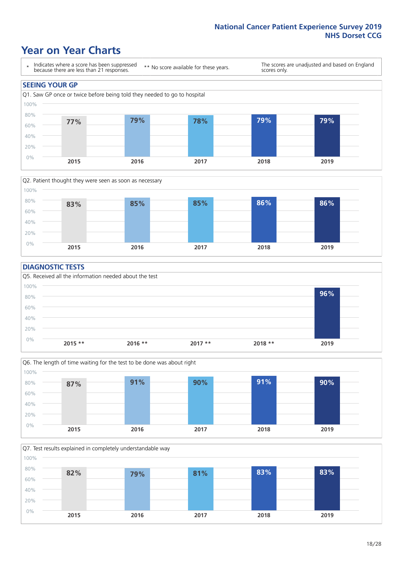### **Year on Year Charts**





#### **DIAGNOSTIC TESTS**





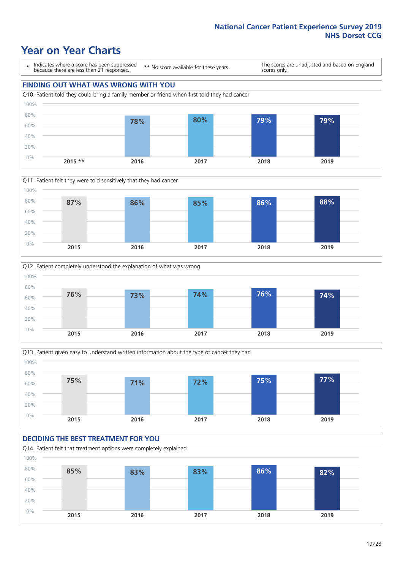### **Year on Year Charts**

\* Indicates where a score has been suppressed because there are less than 21 responses.

\*\* No score available for these years.

The scores are unadjusted and based on England scores only.









#### **DECIDING THE BEST TREATMENT FOR YOU**

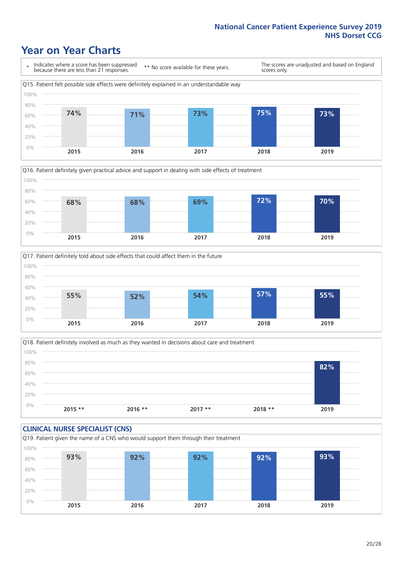### **Year on Year Charts**







Q18. Patient definitely involved as much as they wanted in decisions about care and treatment  $0%$ 20% 40% 60% 80% 100% **2015 \*\* 2016 \*\* 2017 \*\* 2018 \*\* 2019 82%**

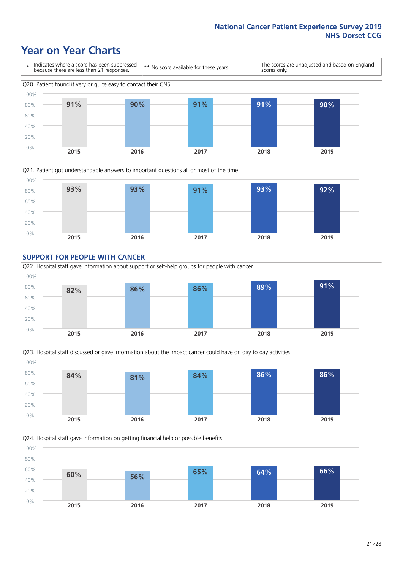### **Year on Year Charts**









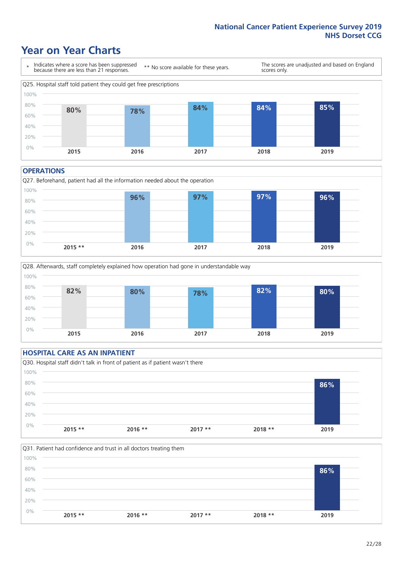### **Year on Year Charts**



#### **OPERATIONS**





#### **HOSPITAL CARE AS AN INPATIENT** Q30. Hospital staff didn't talk in front of patient as if patient wasn't there 0% 20% 40% 60% 80% 100% **2015 \*\* 2016 \*\* 2017 \*\* 2018 \*\* 2019 86%**

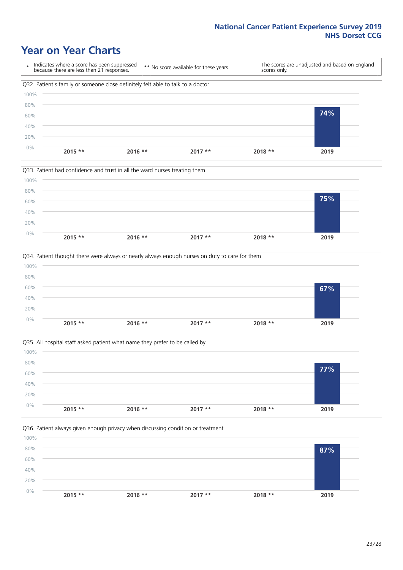### **Year on Year Charts**









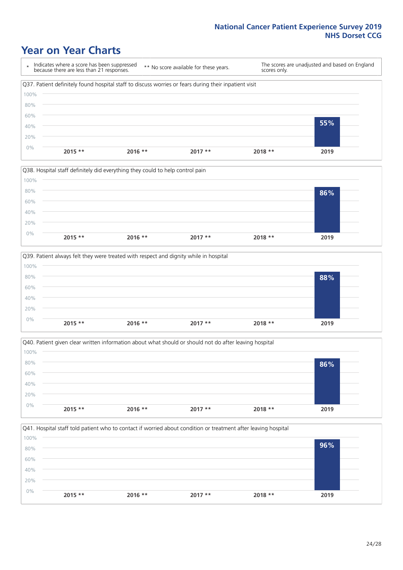### **Year on Year Charts**

\* Indicates where a score has been suppressed because there are less than 21 responses. \*\* No score available for these years. The scores are unadjusted and based on England scores only. Q37. Patient definitely found hospital staff to discuss worries or fears during their inpatient visit 0% 20% 40% 60% 80% 100% **2015 \*\* 2016 \*\* 2017 \*\* 2018 \*\* 2019 55%**







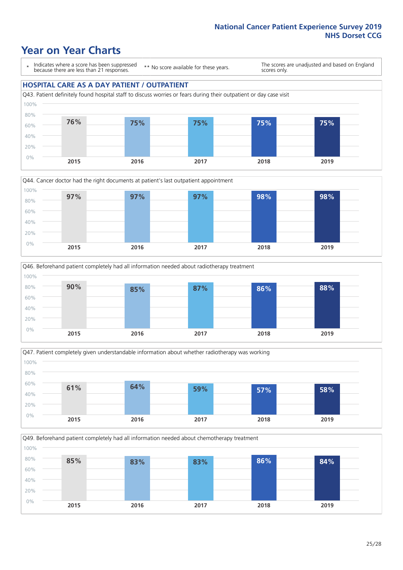### **Year on Year Charts**

\* Indicates where a score has been suppressed because there are less than 21 responses.

\*\* No score available for these years.

The scores are unadjusted and based on England scores only.

#### **HOSPITAL CARE AS A DAY PATIENT / OUTPATIENT**









Q49. Beforehand patient completely had all information needed about chemotherapy treatment 0% 20% 40% 60% 80% 100% **2015 2016 2017 2018 2019 85% 83% 83% 86% 84%**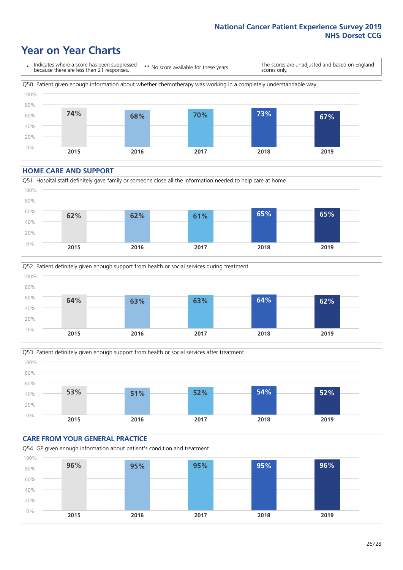### **Year on Year Charts**

\* Indicates where a score has been suppressed because there are less than 21 responses. \*\* No score available for these years. The scores are unadjusted and based on England scores only. Q50. Patient given enough information about whether chemotherapy was working in a completely understandable way 0% 20% 40% 60% 80% 100% **2015 2016 2017 2018 2019 74% 68% 70% 73% 67%**

#### **HOME CARE AND SUPPORT**







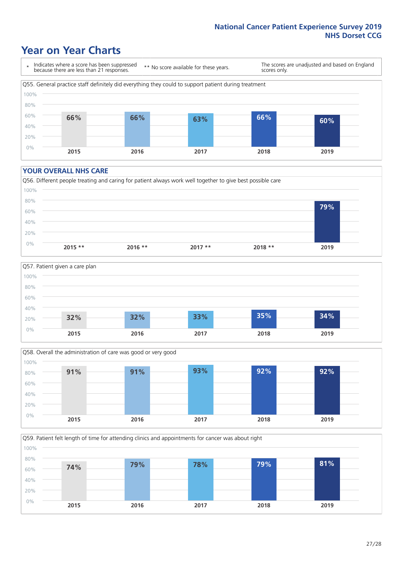### **Year on Year Charts**

\* Indicates where a score has been suppressed because there are less than 21 responses.

\*\* No score available for these years.

The scores are unadjusted and based on England scores only.



#### **YOUR OVERALL NHS CARE**







Q59. Patient felt length of time for attending clinics and appointments for cancer was about right 100%